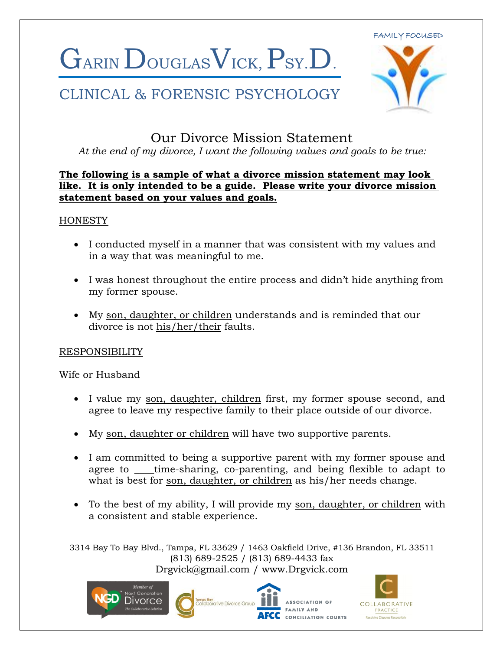GARIN DOUGLAS VICK, PSY.D.

### CLINICAL & FORENSIC PSYCHOLOGY



### Our Divorce Mission Statement

*At the end of my divorce, I want the following values and goals to be true:*

#### **The following is a sample of what a divorce mission statement may look like. It is only intended to be a guide. Please write your divorce mission statement based on your values and goals.**

#### **HONESTY**

- I conducted myself in a manner that was consistent with my values and in a way that was meaningful to me.
- I was honest throughout the entire process and didn't hide anything from my former spouse.
- My son, daughter, or children understands and is reminded that our divorce is not his/her/their faults.

#### RESPONSIBILITY

Wife or Husband

- I value my son, daughter, children first, my former spouse second, and agree to leave my respective family to their place outside of our divorce.
- My son, daughter or children will have two supportive parents.
- I am committed to being a supportive parent with my former spouse and agree to \_\_\_\_time-sharing, co-parenting, and being flexible to adapt to what is best for son, daughter, or children as his/her needs change.
- To the best of my ability, I will provide my son, daughter, or children with a consistent and stable experience.



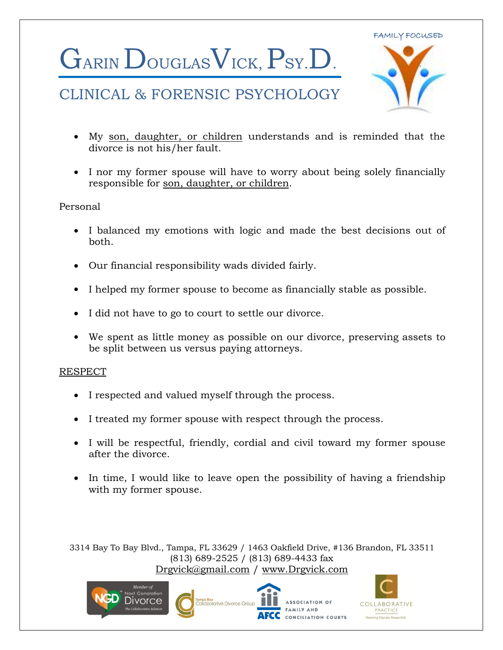# GARIN DOUGLAS VICK, PSY.D.

## CLINICAL & FORENSIC PSYCHOLOGY



- My son, daughter, or children understands and is reminded that the divorce is not his/her fault.
- I nor my former spouse will have to worry about being solely financially responsible for son, daughter, or children.

#### Personal

- I balanced my emotions with logic and made the best decisions out of both.
- Our financial responsibility wads divided fairly.
- I helped my former spouse to become as financially stable as possible.
- I did not have to go to court to settle our divorce.
- We spent as little money as possible on our divorce, preserving assets to be split between us versus paying attorneys.

#### RESPECT

- I respected and valued myself through the process.
- I treated my former spouse with respect through the process.
- I will be respectful, friendly, cordial and civil toward my former spouse after the divorce.
- In time, I would like to leave open the possibility of having a friendship with my former spouse.



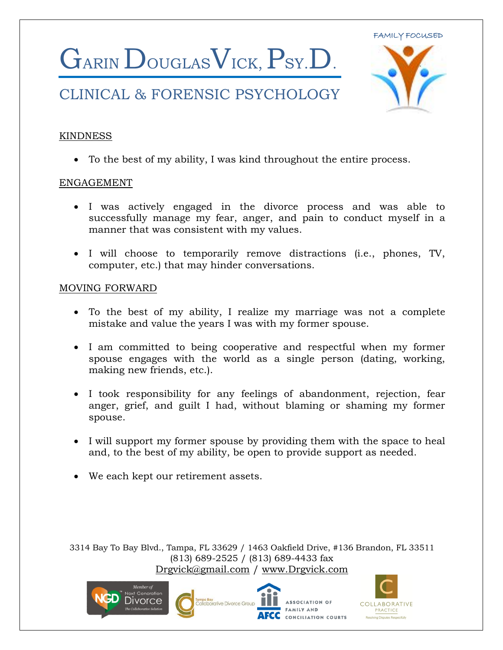

## CLINICAL & FORENSIC PSYCHOLOGY



#### KINDNESS

To the best of my ability, I was kind throughout the entire process.

#### ENGAGEMENT

- I was actively engaged in the divorce process and was able to successfully manage my fear, anger, and pain to conduct myself in a manner that was consistent with my values.
- I will choose to temporarily remove distractions (i.e., phones, TV, computer, etc.) that may hinder conversations.

#### MOVING FORWARD

- To the best of my ability, I realize my marriage was not a complete mistake and value the years I was with my former spouse.
- I am committed to being cooperative and respectful when my former spouse engages with the world as a single person (dating, working, making new friends, etc.).
- I took responsibility for any feelings of abandonment, rejection, fear anger, grief, and guilt I had, without blaming or shaming my former spouse.
- I will support my former spouse by providing them with the space to heal and, to the best of my ability, be open to provide support as needed.
- We each kept our retirement assets.